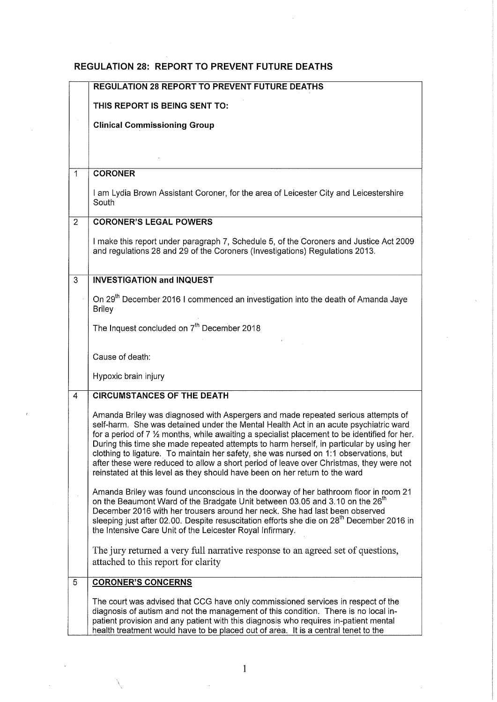## REGULATION 28: REPORT TO PREVENT FUTURE DEATHS

|                | <b>REGULATION 28 REPORT TO PREVENT FUTURE DEATHS</b>                                                                                                                                                                                                                                                                                                                                                                                                                                                                                                                                                                                             |
|----------------|--------------------------------------------------------------------------------------------------------------------------------------------------------------------------------------------------------------------------------------------------------------------------------------------------------------------------------------------------------------------------------------------------------------------------------------------------------------------------------------------------------------------------------------------------------------------------------------------------------------------------------------------------|
|                | THIS REPORT IS BEING SENT TO:                                                                                                                                                                                                                                                                                                                                                                                                                                                                                                                                                                                                                    |
|                | <b>Clinical Commissioning Group</b>                                                                                                                                                                                                                                                                                                                                                                                                                                                                                                                                                                                                              |
|                |                                                                                                                                                                                                                                                                                                                                                                                                                                                                                                                                                                                                                                                  |
|                |                                                                                                                                                                                                                                                                                                                                                                                                                                                                                                                                                                                                                                                  |
| $\mathbf{1}$   | <b>CORONER</b>                                                                                                                                                                                                                                                                                                                                                                                                                                                                                                                                                                                                                                   |
|                | I am Lydia Brown Assistant Coroner, for the area of Leicester City and Leicestershire<br>South                                                                                                                                                                                                                                                                                                                                                                                                                                                                                                                                                   |
| $\overline{2}$ | <b>CORONER'S LEGAL POWERS</b>                                                                                                                                                                                                                                                                                                                                                                                                                                                                                                                                                                                                                    |
|                | I make this report under paragraph 7, Schedule 5, of the Coroners and Justice Act 2009<br>and regulations 28 and 29 of the Coroners (Investigations) Regulations 2013.                                                                                                                                                                                                                                                                                                                                                                                                                                                                           |
| $\overline{3}$ | <b>INVESTIGATION and INQUEST</b>                                                                                                                                                                                                                                                                                                                                                                                                                                                                                                                                                                                                                 |
|                | On 29 <sup>th</sup> December 2016 I commenced an investigation into the death of Amanda Jaye<br><b>Briley</b>                                                                                                                                                                                                                                                                                                                                                                                                                                                                                                                                    |
|                | The Inquest concluded on 7 <sup>th</sup> December 2018                                                                                                                                                                                                                                                                                                                                                                                                                                                                                                                                                                                           |
|                | Cause of death:                                                                                                                                                                                                                                                                                                                                                                                                                                                                                                                                                                                                                                  |
|                | Hypoxic brain injury                                                                                                                                                                                                                                                                                                                                                                                                                                                                                                                                                                                                                             |
| 4              | <b>CIRCUMSTANCES OF THE DEATH</b>                                                                                                                                                                                                                                                                                                                                                                                                                                                                                                                                                                                                                |
|                | Amanda Briley was diagnosed with Aspergers and made repeated serious attempts of<br>self-harm. She was detained under the Mental Health Act in an acute psychiatric ward<br>for a period of $7\frac{1}{2}$ months, while awaiting a specialist placement to be identified for her.<br>During this time she made repeated attempts to harm herself, in particular by using her<br>clothing to ligature. To maintain her safety, she was nursed on 1:1 observations, but<br>after these were reduced to allow a short period of leave over Christmas, they were not<br>reinstated at this level as they should have been on her return to the ward |
|                | Amanda Briley was found unconscious in the doorway of her bathroom floor in room 21<br>on the Beaumont Ward of the Bradgate Unit between 03.05 and 3.10 on the 26 <sup>th</sup><br>December 2016 with her trousers around her neck. She had last been observed<br>sleeping just after 02.00. Despite resuscitation efforts she die on 28 <sup>th</sup> December 2016 in<br>the Intensive Care Unit of the Leicester Royal Infirmary.                                                                                                                                                                                                             |
|                | The jury returned a very full narrative response to an agreed set of questions,<br>attached to this report for clarity                                                                                                                                                                                                                                                                                                                                                                                                                                                                                                                           |
| 5              | <b>CORONER'S CONCERNS</b>                                                                                                                                                                                                                                                                                                                                                                                                                                                                                                                                                                                                                        |
|                | The court was advised that CCG have only commissioned services in respect of the<br>diagnosis of autism and not the management of this condition. There is no local in-<br>patient provision and any patient with this diagnosis who requires in-patient mental<br>health treatment would have to be placed out of area. It is a central tenet to the                                                                                                                                                                                                                                                                                            |